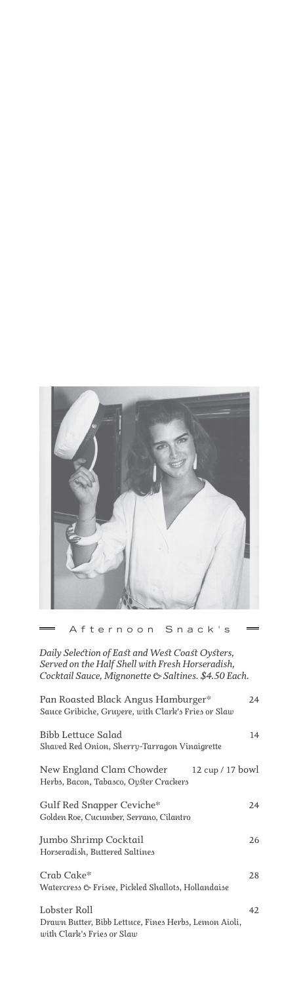

Afternoon Snack's

*Daily Selection of East and West Coast Oysters, Served on the Half Shell with Fresh Horseradish, Cocktail Sauce, Mignonette & Saltines. \$4.50 Each.*

| Pan Roasted Black Angus Hamburger*<br>Sauce Gribiche, Gruyere, with Clark's Fries or Slaw           | 24 |
|-----------------------------------------------------------------------------------------------------|----|
| Bibb Lettuce Salad<br>Shaved Red Onion, Sherry-Tarragon Vinaigrette                                 | 14 |
| New England Clam Chowder<br>12 cup / 17 bowl<br>Herbs, Bacon, Tabasco, Oyster Crackers              |    |
| Gulf Red Snapper Ceviche*<br>Golden Roe, Cucumber, Serrano, Cilantro                                | 24 |
| Jumbo Shrimp Cocktail<br>Horseradish, Buttered Saltines                                             | 26 |
| Crab Cake*<br>Watercress & Frisee, Pickled Shallots, Hollandaise                                    | 28 |
| Lobster Roll<br>Drawn Butter, Bibb Lettuce, Fines Herbs, Lemon Aioli,<br>with Clark's Fries or Slaw | 42 |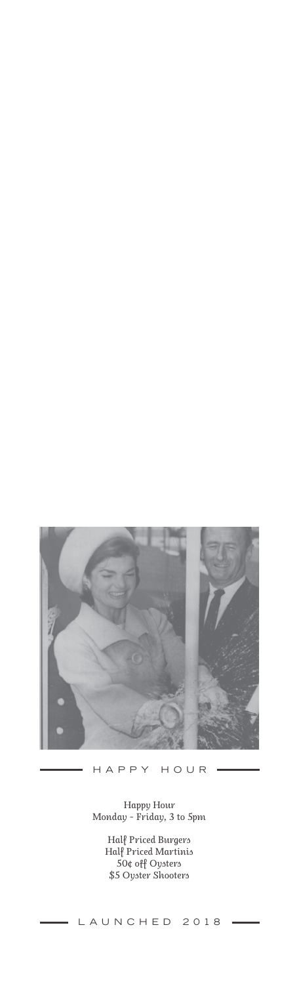

HAPPY HOUR

 $\frac{1}{2}$ 

#### *Happy Hour Monday - Friday, 3 to 5pm*

*Half Priced Burgers Half Priced Martinis 50¢ off Oysters \$5 Oyster Shooters*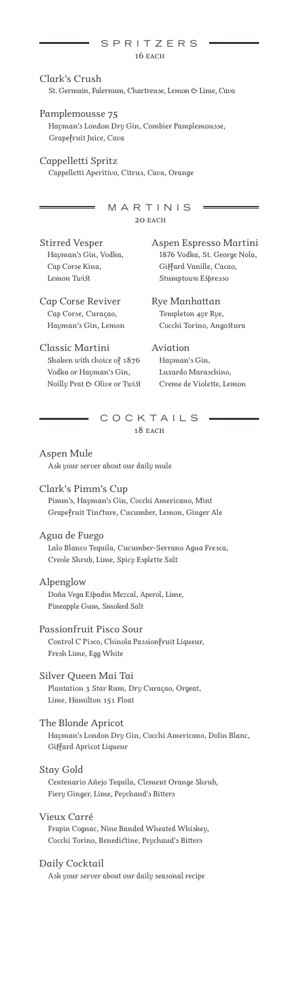### SPRITZERS *16 each*

## *Clark's Crush St. Germain, Falernum, Chartreuse, Lemon & Lime, Cava*

*Pamplemousse 75 Hayman's London Dry Gin, Combier Pamplemousse, Grapefruit Juice, Cava*

*Cappelletti Spritz Cappelletti Aperitivo, Citrus, Cava, Orange* 

> MARTINIS *20 each*

*Stirred Vesper Hayman's Gin, Vodka, Cap Corse Kina, Lemon Twist*

*Aspen Espresso Martini 1876 Vodka, St. George Nola, Giffard Vanille, Cacao, Stumptown Espresso*

*Cap Corse Reviver Cap Corse, Curaçao, Hayman's Gin, Lemon* *Rye Manhattan Templeton 4yr Rye, Cocchi Torino, Angostura* 

*Classic Martini Shaken with choice of 1876 Vodka or Hayman's Gin, Noilly Prat & Olive or Twist* *Aviation Hayman's Gin, Luxardo Maraschino, Creme de Violette, Lemon*

COCKTAILS *18 each*

*Aspen Mule Ask your server about our daily mule* 

*Clark's Pimm's Cup Pimm's, Hayman's Gin, Cocchi Americano, Mint Grapefruit Tincture, Cucumber, Lemon, Ginger Ale*

*Agua de Fuego Lalo Blanco Tequila, Cucumber-Serrano Agua Fresca, Creole Shrub, Lime, Spicy Esplette Salt* 

*Alpenglow Doña Vega Espadin Mezcal, Aperol, Lime, Pineapple Gum, Smoked Salt*

*Passionfruit Pisco Sour Control C Pisco, Chinola Passionfruit Liqueur, Fresh Lime, Egg White*

*Silver Queen Mai Tai Plantation 3 Star Rum, Dry Curaçao, Orgeat, Lime, Hamilton 151 Float*

*The Blonde Apricot Hayman's London Dry Gin, Cocchi Americano, Dolin Blanc, Giffard Apricot Liqueur*

*Stay Gold Centenario Añejo Tequila, Clement Orange Shrub, Fiery Ginger, Lime, Peychaud's Bitters*

*Vieux Carré Frapin Cognac, Nine Banded Wheated Whiskey, Cocchi Torino, Benedictine, Peychaud's Bitters*

*Daily Cocktail Ask your server about our daily seasonal recipe*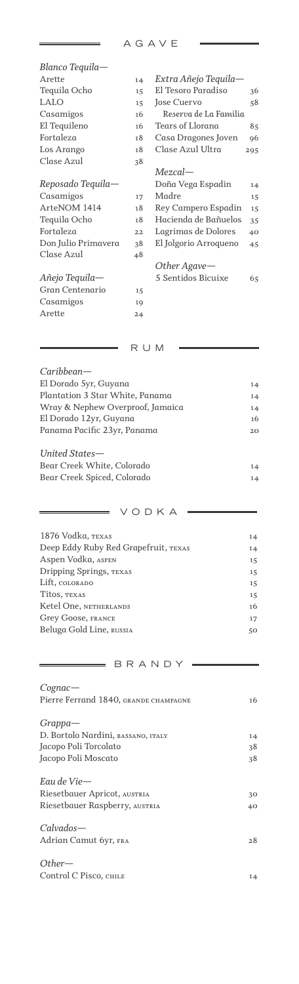| Blanco Tequila—     |    |                       |     |
|---------------------|----|-----------------------|-----|
| Arette              | 14 | Extra Añejo Tequila-  |     |
| Tequila Ocho        | 15 | El Tesoro Paradiso    | 36  |
| <b>LALO</b>         | 15 | Jose Cuervo           | 58  |
| Casamigos           | 16 | Reserva de La Familia |     |
| El Tequileno        | 16 | Tears of Llorana      | 85  |
| Fortaleza           | 18 | Casa Dragones Joven   | 96  |
| Los Arango          | 18 | Clase Azul Ultra      | 295 |
| Clase Azul          | 38 |                       |     |
|                     |    | $Mezcal$ —            |     |
| Reposado Tequila—   |    | Doña Vega Espadin     | 14  |
| Casamigos           | 17 | Madre                 | 15  |
| ArteNOM 1414        | 18 | Rey Campero Espadin   | 15  |
| Tequila Ocho        | 18 | Hacienda de Bañuelos  | 35  |
| Fortaleza           | 22 | Lagrimas de Dolores   | 40  |
| Don Julio Primavera | 38 | El Jolgorio Arroqueno | 45  |
| Clase Azul          | 48 |                       |     |
|                     |    | Other Agave-          |     |
| Añejo Tequila—      |    | 5 Sentidos Bicuixe    | 65  |
| Gran Centenario     | 15 |                       |     |
| Casamigos           | 19 |                       |     |
| Arette              | 24 |                       |     |
|                     |    |                       |     |

## $\begin{array}{cccc}\n\hline\n\end{array}$  RUM =

| $Cariblean-$                     |    |
|----------------------------------|----|
| El Dorado 5yr, Guyana            | 14 |
| Plantation 3 Star White, Panama  | 14 |
| Wray & Nephew Overproof, Jamaica | 14 |
| El Dorado 12yr, Guyana           | 16 |
| Panama Pacific 23yr, Panama      | 20 |
| United States-                   |    |
| Bear Creek White, Colorado       | 14 |
| Bear Creek Spiced, Colorado      | 14 |

# $\longrightarrow$  VODKA  $=$

| 1876 Vodka, TEXAS                    | 14 |
|--------------------------------------|----|
| Deep Eddy Ruby Red Grapefruit, TEXAS | 14 |
| Aspen Vodka, ASPEN                   | 15 |
| Dripping Springs, TEXAS              | 15 |
| Lift, COLORADO                       | 15 |
| Titos, TEXAS                         | 15 |
| Ketel One, NETHERLANDS               | 16 |
| Grey Goose, FRANCE                   | 17 |
| Beluga Gold Line, RUSSIA             | 50 |
|                                      |    |

## $\qquad \qquad \qquad$  BRANDY  $\qquad$

| $Cognac$ —                            |    |
|---------------------------------------|----|
| Pierre Ferrand 1840, GRANDE CHAMPAGNE | 16 |
| $Grapha-$                             |    |
| D. Bortolo Nardini, BASSANO, ITALY    | 14 |
| Jacopo Poli Torcolato                 | 38 |
| Jacopo Poli Moscato                   | 38 |
| Eau de Vie-                           |    |
| Riesetbauer Apricot, AUSTRIA          | 30 |
| Riesetbauer Raspberry, AUSTRIA        | 40 |
| $Calvados-$                           |    |
| Adrian Camut 6yr, FRA                 | 28 |
| $Other-$                              |    |
| Control C Pisco, CHILE                | 14 |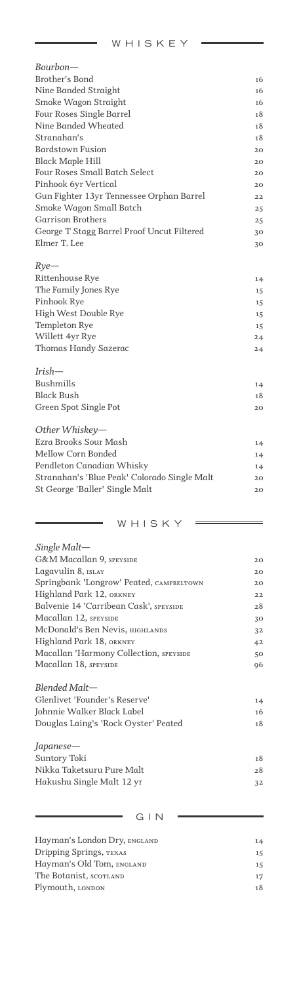WHISKEY

 $\equiv$ 

| Bourbon—                                     |    |
|----------------------------------------------|----|
| Brother's Bond                               | 16 |
| Nine Banded Straight                         | 16 |
| Smoke Wagon Straight                         | 16 |
| Four Roses Single Barrel                     | 18 |
| Nine Banded Wheated                          | 18 |
| Stranahan's                                  | 18 |
| <b>Bardstown Fusion</b>                      | 20 |
| <b>Black Maple Hill</b>                      | 20 |
| Four Roses Small Batch Select                | 20 |
| Pinhook 6yr Vertical                         | 20 |
| Gun Fighter 13yr Tennessee Orphan Barrel     | 22 |
| Smoke Wagon Small Batch                      | 25 |
| <b>Garrison Brothers</b>                     | 25 |
| George T Stagg Barrel Proof Uncut Filtered   | 30 |
| Elmer T. Lee                                 | 30 |
| $Rye-$                                       |    |
| Rittenhouse Rye                              | 14 |
| The Family Jones Rye                         | 15 |
| Pinhook Rye                                  | 15 |
| High West Double Rye                         | 15 |
| Templeton Rye                                | 15 |
| Willett 4yr Rye                              | 24 |
| Thomas Handy Sazerac                         | 24 |
| $Irish-$                                     |    |
| <b>Bushmills</b>                             | 14 |
| <b>Black Bush</b>                            | 18 |
| Green Spot Single Pot                        | 20 |
| Other Whiskey-                               |    |
| Ezra Brooks Sour Mash                        | 14 |
| Mellow Corn Bonded                           | 14 |
| Pendleton Canadian Whisky                    | 14 |
| Stranahan's 'Blue Peak' Colorado Single Malt | 20 |
| St George 'Baller' Single Malt               | 20 |
|                                              |    |

WHISKY

 $\bar{z}$ 

| $Single$ Malt-                           |    |
|------------------------------------------|----|
| <b>G&amp;M Macallan 9, SPEYSIDE</b>      | 20 |
| Lagavulin 8, ISLAY                       | 20 |
| Springbank 'Longrow' Peated, CAMPBELTOWN | 20 |
| Highland Park 12, ORKNEY                 | 22 |
| Balvenie 14 'Carribean Cask', SPEYSIDE   | 28 |
| Macallan 12, SPEYSIDE                    | 30 |
| McDonald's Ben Nevis, HIGHLANDS          | 32 |
| Highland Park 18, ORKNEY                 | 42 |
| Macallan 'Harmony Collection, SPEYSIDE   | 50 |
| Macallan 18, SPEYSIDE                    | 96 |
| Blended Malt-                            |    |
| Glenlivet 'Founder's Reserve'            | 14 |
| Johnnie Walker Black Label               | 16 |
| Douglas Laing's 'Rock Oyster' Peated     | 18 |
| Japanese—                                |    |
| Suntory Toki                             | 18 |
| Nikka Taketsuru Pure Malt                | 28 |
| Hakushu Single Malt 12 yr                | 32 |
|                                          |    |
| GIN                                      |    |

### *Hayman's London Dry, england 14 Dripping Springs, texas 15 Hayman's Old Tom, england 15 The Botanist, scotland 17 Plymouth, london 18*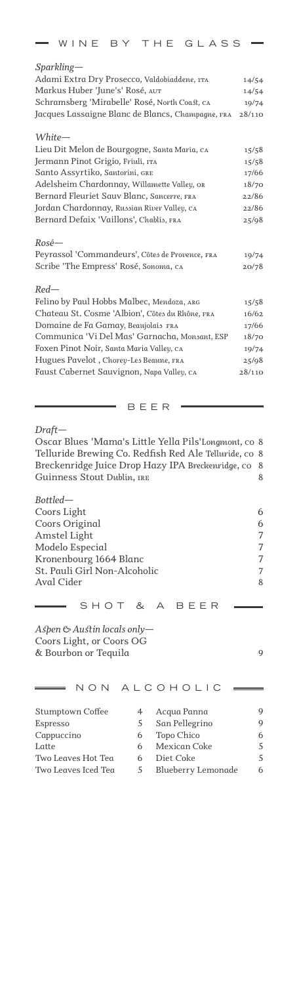| WINE BY THE GLASS                                 |        |
|---------------------------------------------------|--------|
| $Sparkling-$                                      |        |
| Adami Extra Dry Prosecco, Valdobiaddene, 1TA      | 14/54  |
| Markus Huber 'June's' Rosé, AUT                   | 14/54  |
| Schramsberg 'Mirabelle' Rosé, North Coast, CA     | 19/74  |
| Jacques Lassaigne Blanc de Blancs, Champagne, FRA | 28/110 |
| White-                                            |        |
| Lieu Dit Melon de Bourgogne, Santa Maria, CA      | 15/58  |
| Jermann Pinot Grigio, Friuli, ITA                 | 15/58  |
| Santo Assyrtiko, Santorini, GRE                   | 17/66  |
| Adelsheim Chardonnay, Willamette Valley, OR       | 18/70  |
| Bernard Fleuriet Sauv Blanc, Sancerre, FRA        | 22/86  |
| Jordan Chardonnay, Russian River Valley, CA       | 22/86  |
| Bernard Defaix 'Vaillons', Chablis, FRA           | 25/98  |
| $Rosé-$                                           |        |
| Peyrassol 'Commandeurs', Côtes de Provence, FRA   | 19/74  |
| Scribe 'The Empress' Rosé, Sonoma, CA             | 20/78  |
| $Red-$                                            |        |
| Felino by Paul Hobbs Malbec, Mendoza, ARG         | 15/58  |
| Chateau St. Cosme 'Albion', Côtes du Rhône, FRA   | 16/62  |
| Domaine de Fa Gamay, Beaujolais FRA               | 17/66  |
| Communica 'Vi Del Mas' Garnacha, Monsant, ESP     | 18/70  |
| Foxen Pinot Noir, Santa Maria Valley, CA          | 19/74  |
| Hugues Pavelot, Chorey-Les Beaune, FRA            | 25/98  |
| Faust Cabernet Sauvignon, Napa Valley, CA         | 28/110 |

BEER

*Draft—*

*Oscar Blues 'Mama's Little Yella Pils'Longmont, co 8 Telluride Brewing Co. Redfish Red Ale Telluride, co 8 Breckenridge Juice Drop Hazy IPA Breckenridge, co 8 Guinness Stout Dublin, ire 8*

| Bottled—                     |   |
|------------------------------|---|
| Coors Light                  | 6 |
| Coors Original               | 6 |
| Amstel Light                 | 7 |
| Modelo Especial              | 7 |
| Kronenbourg 1664 Blanc       | 7 |
| St. Pauli Girl Non-Alcoholic | 7 |
| Aval Cider                   | 8 |
|                              |   |
| SHOT & A BEER                |   |

*Aspen & Austin locals only— Coors Light, or Coors OG & Bourbon or Tequila 9*

|                         |   | NON ALCOHOLIC      |   |
|-------------------------|---|--------------------|---|
| <b>Stumptown Coffee</b> | 4 | Acqua Panna        | 9 |
| Espresso                | 5 | San Pellegrino     | 9 |
| Cappuccino              | 6 | Topo Chico         | 6 |
| Latte                   | 6 | Mexican Coke       | 5 |
| Two Leaves Hot Tea      | 6 | Diet Coke          | 5 |
| Two Leaves Iced Tea     | 5 | Blueberry Lemonade | 6 |
|                         |   |                    |   |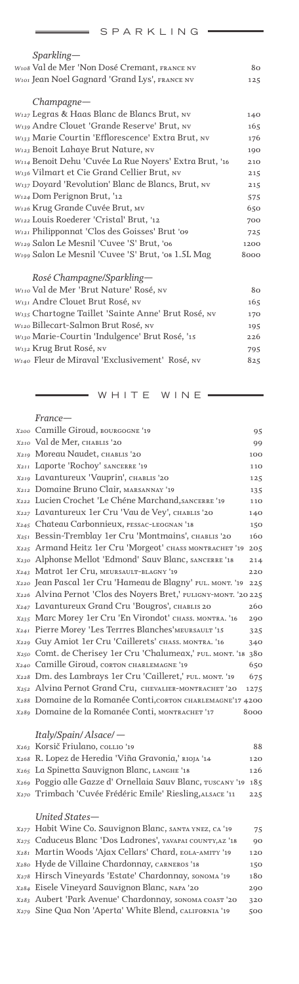|  |  |  | S P A R K L I N G |  |
|--|--|--|-------------------|--|
|  |  |  |                   |  |

| 0   A I\ I\ L   I V G                                              |      |
|--------------------------------------------------------------------|------|
| $Sparkling-$                                                       |      |
| W108 Val de Mer 'Non Dosé Cremant, FRANCE NV                       | 80   |
| W101 Jean Noel Gagnard 'Grand Lys', FRANCE NV                      | 125  |
| $Champagne$ —                                                      |      |
| W127 Legras & Haas Blanc de Blancs Brut, NV                        | 140  |
| W139 Andre Clouet 'Grande Reserve' Brut, NV                        | 165  |
| W <sub>133</sub> Marie Courtin 'Efflorescence' Extra Brut, NV      | 176  |
| W <sub>123</sub> Benoit Lahaye Brut Nature, NV                     | 190  |
| W <sub>114</sub> Benoit Dehu 'Cuvée La Rue Noyers' Extra Brut, '16 | 210  |
| W <sub>136</sub> Vilmart et Cie Grand Cellier Brut, NV             | 215  |
| $W_{137}$ Doyard 'Revolution' Blanc de Blancs, Brut, NV            | 215  |
| W124 Dom Perignon Brut, '12                                        | 575  |
| W126 Krug Grande Cuvée Brut, MV                                    | 650  |
| W <sub>122</sub> Louis Roederer 'Cristal' Brut, '12                | 700  |
| W121 Philipponnat 'Clos des Goisses' Brut '09                      | 725  |
| W <sub>129</sub> Salon Le Mesnil 'Cuvee 'S' Brut, '06              | 1200 |
| W <sub>199</sub> Salon Le Mesnil 'Cuvee 'S' Brut, 'os 1.5L Mag     | 8000 |
| Rosé Champagne/Sparkling-                                          |      |
| W <sub>110</sub> Val de Mer 'Brut Nature' Rosé, NV                 | 80   |
| W131 Andre Clouet Brut Rosé, NV                                    | 165  |
|                                                                    |      |

| W <sub>135</sub> Chartogne Taillet 'Sainte Anne' Brut Rosé, NV | 170 |
|----------------------------------------------------------------|-----|
| W120 Billecart-Salmon Brut Rosé, NV                            | 195 |
| W130 Marie-Courtin 'Indulgence' Brut Rosé, '15                 | 226 |
| W <sub>132</sub> Krug Brut Rosé, <sub>NV</sub>                 | 795 |
| W <sub>140</sub> Fleur de Miraval 'Exclusivement' Rosé, NV     | 825 |
|                                                                |     |

 $=$  WHITE WINE =

|      | France—                                                          |            |
|------|------------------------------------------------------------------|------------|
|      | X200 Camille Giroud, BOURGOGNE '19                               | 95         |
|      | X210 Val de Mer, CHABLIS '20                                     | 99         |
|      | X219 Moreau Naudet, CHABLIS '20                                  | 100        |
| X211 | Laporte 'Rochoy' SANCERRE '19                                    | 110        |
|      | X219 Lavantureux 'Vauprin', CHABLIS '20                          | 125        |
|      | X212 Domaine Bruno Clair, MARSANNAY '19                          | 135        |
|      | X222 Lucien Crochet 'Le Chéne Marchand, SANCERRE '19             | 110        |
|      | X227 Lavantureux 1er Cru 'Vau de Vey', CHABLIS '20               | 140        |
|      | X245 Chateau Carbonnieux, PESSAC-LEOGNAN '18                     | 150        |
|      | X251 Bessin-Tremblay 1er Cru 'Montmains', CHABLIS '20            | 160        |
|      | X225 Armand Heitz 1er Cru 'Morgeot' CHASS MONTRACHET '19         | 205        |
|      | X230 Alphonse Mellot 'Edmond' Sauv Blanc, SANCERRE '18           | 214        |
|      | X <sub>243</sub> Matrot 1er Cru, MEURSAULT-BLAGNY '19            | 220        |
|      | X220 Jean Pascal 1er Cru 'Hameau de Blagny' PUL. MONT. '19       | 225        |
|      | X226 Alvina Pernot 'Clos des Noyers Bret,' PULIGNY-MONT. '20 225 |            |
|      | X247 Lavantureux Grand Cru 'Bougros', CHABLIS 20                 | 260        |
|      | X235 Marc Morey 1er Cru 'En Virondot' CHASS. MONTRA. '16         | 290        |
| X241 | Pierre Morey 'Les Terrres Blanches' MEURSAULT '15                | 325        |
|      | X229 Guy Amiot 1er Cru 'Caillerets' CHASS. MONTRA. '16           | 340        |
|      | X250 Comt. de Cherisey 1er Cru 'Chalumeax,' PUL. MONT. '18       | 380        |
|      | X240 Camille Giroud, CORTON CHARLEMAGNE '19                      | 650        |
|      | X228 Dm. des Lambrays 1er Cru 'Cailleret,' PUL. MONT. '19        | 675        |
|      | X252 Alvina Pernot Grand Cru, CHEVALIER-MONTRACHET '20           | 1275       |
|      | X288 Domaine de la Romanée Conti, corton CHARLEMAGNE'17 4200     |            |
| X289 | Domaine de la Romanée Conti, MONTRACHET '17                      | 8000       |
|      | Italy/Spain/Alsace/-                                             |            |
|      | X263 Korsič Friulano, COLLIO '19                                 | 88         |
|      | X268 R. Lopez de Heredia 'Viña Gravonia,' RIOJA '14              | 120        |
| X265 | La Spinetta Sauvignon Blanc, LANGHE '18                          | 126        |
|      | X269 Poggio alle Gazze d' Ornellaia Sauv Blanc, TUSCANY '19      | 185        |
| X270 | Trimbach 'Cuvée Frédéric Emile' Riesling, ALSACE '11             | 225        |
|      | United States—                                                   |            |
|      | X277 Habit Wine Co. Sauvignon Blanc, SANTA YNEZ, CA '19          |            |
|      | X275 Caduceus Blanc 'Dos Ladrones', YAVAPAI COUNTY, AZ '18       | 75         |
| X281 | Martin Woods 'Ajax Cellars' Chard, EOLA-АМІТҮ '19                | 90         |
| X280 | Hyde de Villaine Chardonnay, CARNEROS '18                        | 120        |
|      | X278 Hirsch Vineyards 'Estate' Chardonnay, SONOMA '19            | 150<br>180 |
|      | ree, Fisele Vinevard Squyianon Blanc, NARA 120                   | 200        |

*Eisele Vineyard Sauvignon Blanc, napa '20 290 Aubert 'Park Avenue' Chardonnay, sonoma coast '20 320 X284 X283*

*X279*

*Sine Qua Non 'Aperta' White Blend, california '19 500*